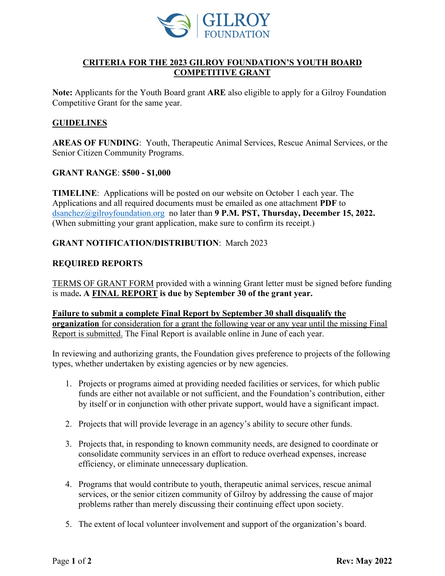

# **CRITERIA FOR THE 2023 GILROY FOUNDATION'S YOUTH BOARD COMPETITIVE GRANT**

**Note:** Applicants for the Youth Board grant **ARE** also eligible to apply for a Gilroy Foundation Competitive Grant for the same year.

## **GUIDELINES**

**AREAS OF FUNDING**: Youth, Therapeutic Animal Services, Rescue Animal Services, or the Senior Citizen Community Programs.

#### **GRANT RANGE**: **\$500 - \$1,000**

**TIMELINE**: Applications will be posted on our website on October 1 each year. The Applications and all required documents must be emailed as one attachment **PDF** to [dsanchez@gilroyfoundation.org](mailto:dsanchez@gilroyfoundation.org) no later than **9 P.M. PST, Thursday, December 15, 2022.**  (When submitting your grant application, make sure to confirm its receipt.)

#### **GRANT NOTIFICATION/DISTRIBUTION**: March 2023

#### **REQUIRED REPORTS**

TERMS OF GRANT FORM provided with a winning Grant letter must be signed before funding is made**. A FINAL REPORT is due by September 30 of the grant year.**

## **Failure to submit a complete Final Report by September 30 shall disqualify the organization** for consideration for a grant the following year or any year until the missing Final Report is submitted. The Final Report is available online in June of each year.

In reviewing and authorizing grants, the Foundation gives preference to projects of the following types, whether undertaken by existing agencies or by new agencies.

- 1. Projects or programs aimed at providing needed facilities or services, for which public funds are either not available or not sufficient, and the Foundation's contribution, either by itself or in conjunction with other private support, would have a significant impact.
- 2. Projects that will provide leverage in an agency's ability to secure other funds.
- 3. Projects that, in responding to known community needs, are designed to coordinate or consolidate community services in an effort to reduce overhead expenses, increase efficiency, or eliminate unnecessary duplication.
- 4. Programs that would contribute to youth, therapeutic animal services, rescue animal services, or the senior citizen community of Gilroy by addressing the cause of major problems rather than merely discussing their continuing effect upon society.
- 5. The extent of local volunteer involvement and support of the organization's board.